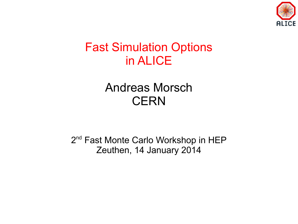

#### Fast Simulation Options in ALICE

#### Andreas Morsch **CERN**

2<sup>nd</sup> Fast Monte Carlo Workshop in HEP Zeuthen, 14 January 2014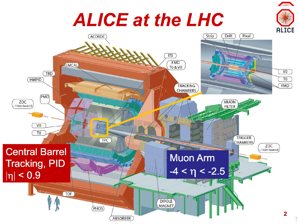## **ALICE at the LHC**



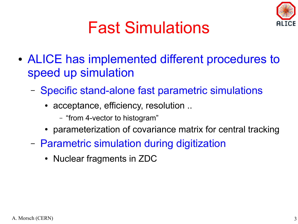

### Fast Simulations

- ALICE has implemented different procedures to speed up simulation
	- Specific stand-alone fast parametric simulations
		- acceptance, efficiency, resolution ..
			- "from 4-vector to histogram"
		- parameterization of covariance matrix for central tracking
	- Parametric simulation during digitization
		- Nuclear fragments in ZDC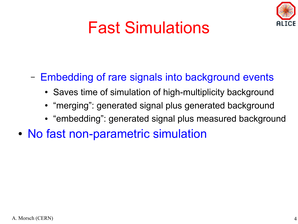

### Fast Simulations

#### – Embedding of rare signals into background events

- Saves time of simulation of high-multiplicity background
- "merging": generated signal plus generated background
- "embedding": generated signal plus measured background
- No fast non-parametric simulation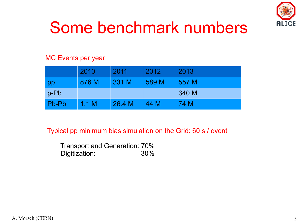

### Some benchmark numbers

#### MC Events per year

|       | 2010  | 2011   | 2012  | 2013  |  |
|-------|-------|--------|-------|-------|--|
| pp    | 876 M | 331 M  | 589 M | 557 M |  |
| p-Pb  |       |        |       | 340 M |  |
| Pb-Pb | 1.1 M | 26.4 M | 44 M  | 74 M  |  |

Typical pp minimum bias simulation on the Grid: 60 s / event

 Transport and Generation: 70% Digitization: 30%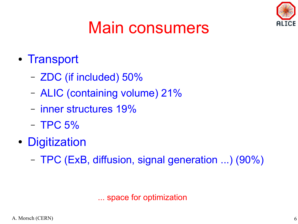

## Main consumers

- Transport
	- ZDC (if included) 50%
	- ALIC (containing volume) 21%
	- inner structures 19%
	- TPC 5%
- Digitization
	- TPC (ExB, diffusion, signal generation ...) (90%)

... space for optimization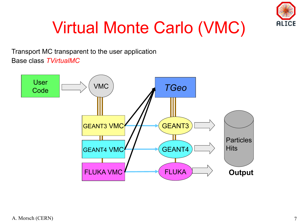

## Virtual Monte Carlo (VMC)

Transport MC transparent to the user application Base class *TVirtualMC*

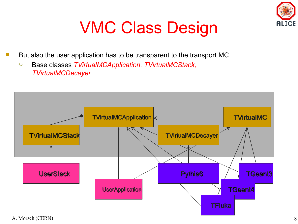

#### VMC Class Design

- But also the user application has to be transparent to the transport MC
	- Base classes *TVirtualMCApplication, TVirtualMCStack, TVirtualMCDecayer*

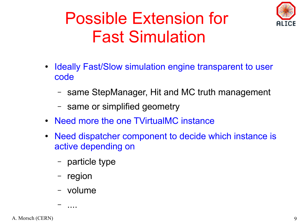

### Possible Extension for Fast Simulation

- Ideally Fast/Slow simulation engine transparent to user code
	- same StepManager, Hit and MC truth management
	- same or simplified geometry
- Need more the one TVirtualMC instance
- Need dispatcher component to decide which instance is active depending on
	- particle type
	- region
	- volume

– ....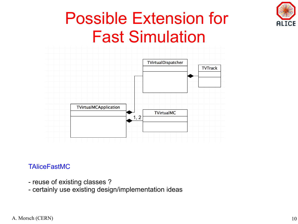

#### Possible Extension for Fast Simulation



#### **TAliceFastMC**

- reuse of existing classes ?
- certainly use existing design/implementation ideas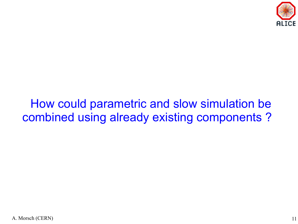

#### How could parametric and slow simulation be combined using already existing components ?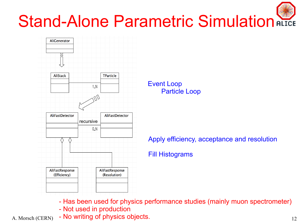## Stand-Alone Parametric Simulation ALICE



Event Loop Particle Loop

Apply efficiency, acceptance and resolution

Fill Histograms

- Has been used for physics performance studies (mainly muon spectrometer)

- Not used in production
- A. Morsch (CERN) No writing of physics objects. 12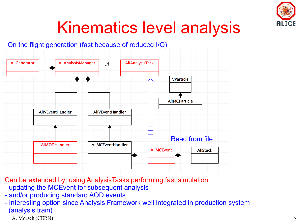

#### Kinematics level analysis

#### On the flight generation (fast because of reduced I/O)



Can be extended by using AnalysisTasks performing fast simulation

- updating the MCEvent for subsequent analysis
- and/or producing standard AOD events
- Interesting option since Analysis Framework well integrated in production system (analysis train)
	- A. Morsch (CERN) 13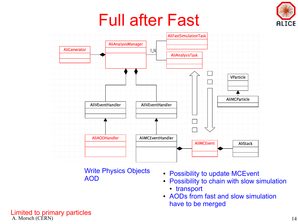# ICE

### Full after Fast



Write Physics Objects AOD

- Possibility to update MCEvent
- Possibility to chain with slow simulation
	- transport
- AODs from fast and slow simulation have to be merged

A. Morsch (CERN) and the contract of the contract of the contract of the contract of the contract of the contract of the contract of the contract of the contract of the contract of the contract of the contract of the contr Limited to primary particles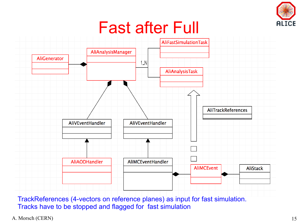

#### Fast after Full



TrackReferences (4-vectors on reference planes) as input for fast simulation. Tracks have to be stopped and flagged for fast simulation

A. Morsch (CERN) 15